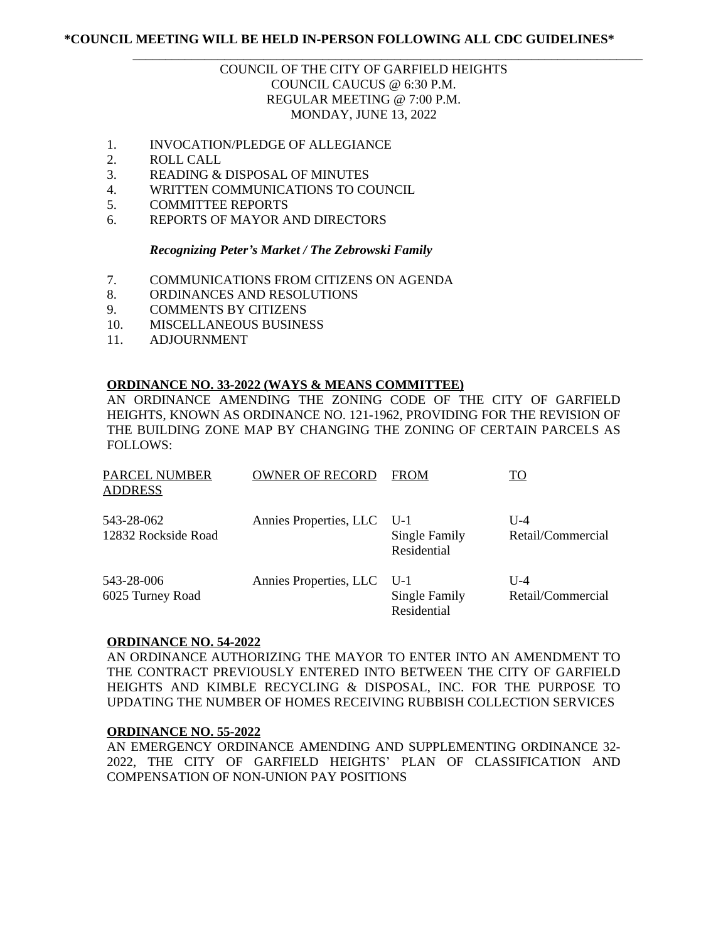## **\*COUNCIL MEETING WILL BE HELD IN-PERSON FOLLOWING ALL CDC GUIDELINES\***

# COUNCIL OF THE CITY OF GARFIELD HEIGHTS COUNCIL CAUCUS @ 6:30 P.M. REGULAR MEETING @ 7:00 P.M. MONDAY, JUNE 13, 2022

\_\_\_\_\_\_\_\_\_\_\_\_\_\_\_\_\_\_\_\_\_\_\_\_\_\_\_\_\_\_\_\_\_\_\_\_\_\_\_\_\_\_\_\_\_\_\_\_\_\_\_\_\_\_\_\_\_\_\_\_\_\_\_\_\_\_\_\_\_\_\_\_\_\_\_\_\_\_

- 1. INVOCATION/PLEDGE OF ALLEGIANCE
- 2. ROLL CALL
- 3. READING & DISPOSAL OF MINUTES
- 4. WRITTEN COMMUNICATIONS TO COUNCIL
- 5. COMMITTEE REPORTS
- 6. REPORTS OF MAYOR AND DIRECTORS

#### *Recognizing Peter's Market / The Zebrowski Family*

- 7. COMMUNICATIONS FROM CITIZENS ON AGENDA
- 8. ORDINANCES AND RESOLUTIONS
- 9. COMMENTS BY CITIZENS
- 10. MISCELLANEOUS BUSINESS
- 11. ADJOURNMENT

### **ORDINANCE NO. 33-2022 (WAYS & MEANS COMMITTEE)**

AN ORDINANCE AMENDING THE ZONING CODE OF THE CITY OF GARFIELD HEIGHTS, KNOWN AS ORDINANCE NO. 121-1962, PROVIDING FOR THE REVISION OF THE BUILDING ZONE MAP BY CHANGING THE ZONING OF CERTAIN PARCELS AS FOLLOWS:

| <b>PARCEL NUMBER</b><br><b>ADDRESS</b> | <b>OWNER OF RECORD</b>     | FROM                                | <u>TO</u>                  |
|----------------------------------------|----------------------------|-------------------------------------|----------------------------|
| 543-28-062<br>12832 Rockside Road      | Annies Properties, LLC     | U-1<br>Single Family<br>Residential | $U-4$<br>Retail/Commercial |
| 543-28-006<br>6025 Turney Road         | Annies Properties, LLC U-1 | Single Family<br>Residential        | $U-4$<br>Retail/Commercial |

#### **ORDINANCE NO. 54-2022**

AN ORDINANCE AUTHORIZING THE MAYOR TO ENTER INTO AN AMENDMENT TO THE CONTRACT PREVIOUSLY ENTERED INTO BETWEEN THE CITY OF GARFIELD HEIGHTS AND KIMBLE RECYCLING & DISPOSAL, INC. FOR THE PURPOSE TO UPDATING THE NUMBER OF HOMES RECEIVING RUBBISH COLLECTION SERVICES

### **ORDINANCE NO. 55-2022**

AN EMERGENCY ORDINANCE AMENDING AND SUPPLEMENTING ORDINANCE 32- 2022, THE CITY OF GARFIELD HEIGHTS' PLAN OF CLASSIFICATION AND COMPENSATION OF NON-UNION PAY POSITIONS